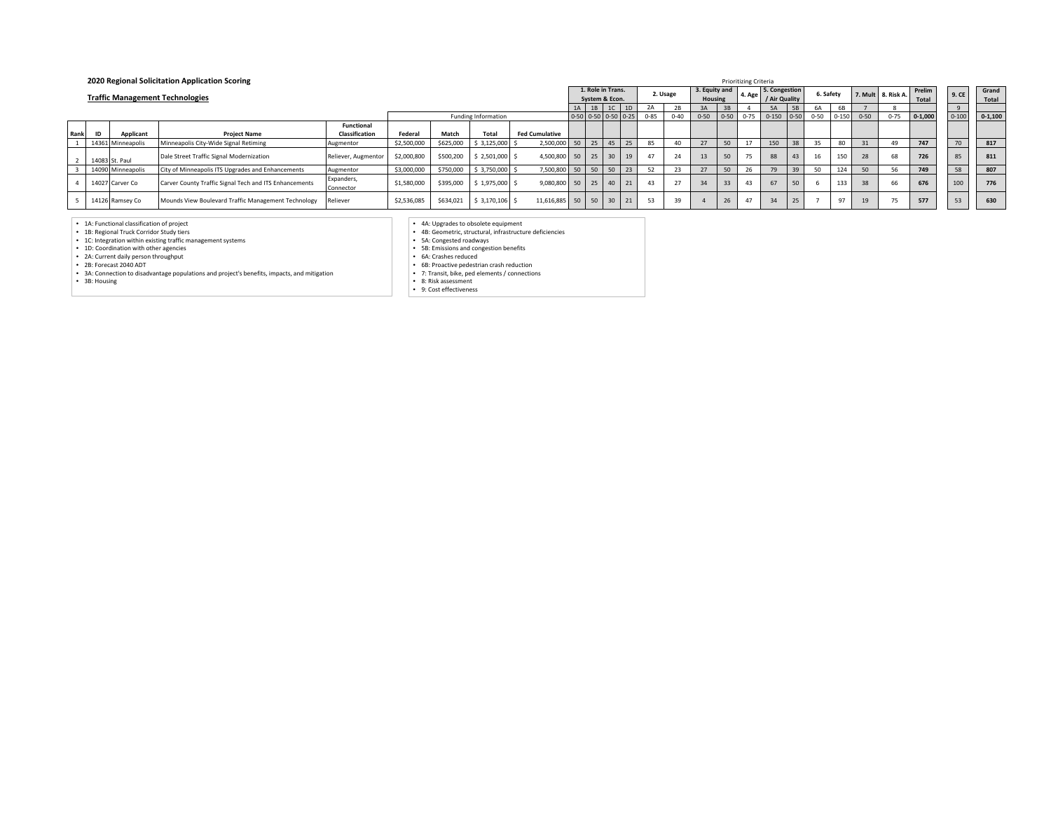|      |                |                   | 2020 Regional Solicitation Application Scoring         |                         |             |           |                     |                       |       |                                     |    | <b>Prioritizing Criteria</b> |          |                          |           |                    |                                |           |         |          |                    |                 |           |                |
|------|----------------|-------------------|--------------------------------------------------------|-------------------------|-------------|-----------|---------------------|-----------------------|-------|-------------------------------------|----|------------------------------|----------|--------------------------|-----------|--------------------|--------------------------------|-----------|---------|----------|--------------------|-----------------|-----------|----------------|
|      |                |                   | <b>Traffic Management Technologies</b>                 |                         |             |           |                     |                       |       | 1. Role in Trans.<br>System & Econ. |    |                              | 2. Usage | 3. Equity and<br>Housing |           | 4. Age             | 5. Congestion<br>/ Air Quality | 6. Safety |         |          | 7. Mult 8. Risk A. | Prelim<br>Total | 9. CE     | Grand<br>Total |
|      |                |                   |                                                        |                         |             |           | 1A 1B 1C            |                       | 1D    | 2A                                  | 2B | 3A                           | 3B       |                          | <b>5A</b> | 6A                 | 6B                             |           |         |          |                    |                 |           |                |
|      |                |                   |                                                        |                         |             |           | Funding Information |                       |       | 0-50 0-50 0-50 0-25                 |    | $0 - 85$                     | $0 - 40$ | $0 - 50$                 | $0 - 50$  | $0 - 75$           | $0-150$ $0-50$                 | $0 - 50$  | $0-150$ | $0 - 50$ | $0 - 75$           | $0 - 1,000$     | $0 - 100$ | $0 - 1,100$    |
|      |                |                   |                                                        | <b>Functional</b>       |             |           |                     |                       |       |                                     |    |                              |          |                          |           |                    |                                |           |         |          |                    |                 |           |                |
| Rank | ID             | Applicant         | <b>Project Name</b>                                    | Classification          | Federal     | Match     | Total               | <b>Fed Cumulative</b> |       |                                     |    |                              |          |                          |           |                    |                                |           |         |          |                    |                 |           |                |
|      |                | 14361 Minneapolis | Minneapolis City-Wide Signal Retiming                  | Augmentor               | \$2,500,000 | \$625,000 | \$3,125,000         | 2,500,000             | 50 25 | 45                                  | 25 | 85                           |          |                          | 50        |                    | 150                            |           | 80      | 31       | 49                 | 747             | 70        | 817            |
|      | 14083 St. Paul |                   | Dale Street Traffic Signal Modernization               | Reliever, Augmentor     | \$2,000,800 | \$500,200 | $2,501,000$ \$      | 4,500,800             |       | 50 25 30                            | 19 | 47                           | 24       | 13                       | 50        | $\mathbf{r}$<br>15 | 88                             |           | 150     | 28       |                    | 726             | 85        | 811            |
|      |                | 14090 Minneapolis | City of Minneapolis ITS Upgrades and Enhancements      | Augmentor               | \$3,000,000 | \$750,000 | \$3,750,000         | 7,500,800             | 50 50 | $\vert$ 50                          | 23 | 52                           | 23       |                          | 50        |                    |                                | 50        | 124     | 50       |                    | 749             | 58        | 807            |
|      |                | 14027 Carver Co   | Carver County Traffic Signal Tech and ITS Enhancements | Expanders,<br>Connector | \$1,580,000 | \$395,000 | $$1.975.000$ \$     | 9.080.800             |       | 50 25 40                            | 21 | 43                           | 27       | 34                       | 33        | 43                 | 67                             |           | 133     | 38       |                    | 676             | 100       | 776            |
|      |                | 14126 Ramsey Co   | Mounds View Boulevard Traffic Management Technology    | Reliever                | \$2,536,085 | \$634,021 | $$3,170,106$ \$     | 11,616,885            |       | 50 50 30 21                         |    | 53                           | 39       |                          | 26        | 47                 | 34                             |           | 97      | 19       |                    | 577             | 53        | 630            |

• 1A: Functional classification of project • 1B: Regional Truck Corridor Study tiers

• 1C: Integration within existing traffic management systems • 1D: Coordination with other agencies • 2A: Current daily person throughput • 2B: Forecast 2040 ADT

• 3A: Connection to disadvantage populations and project's benefits, impacts, and mitigation • 3B: Housing

• 4A: Upgrades to obsolete equipment • 4B: Geometric, structural, infrastructure deficiencies

• 5A: Congested roadways • 5B: Emissions and congestion benefits • 6A: Crashes reduced • 6B: Proactive pedestrian crash reduction

• 7: Transit, bike, ped elements / connections • 8: Risk assessment • 9: Cost effectiveness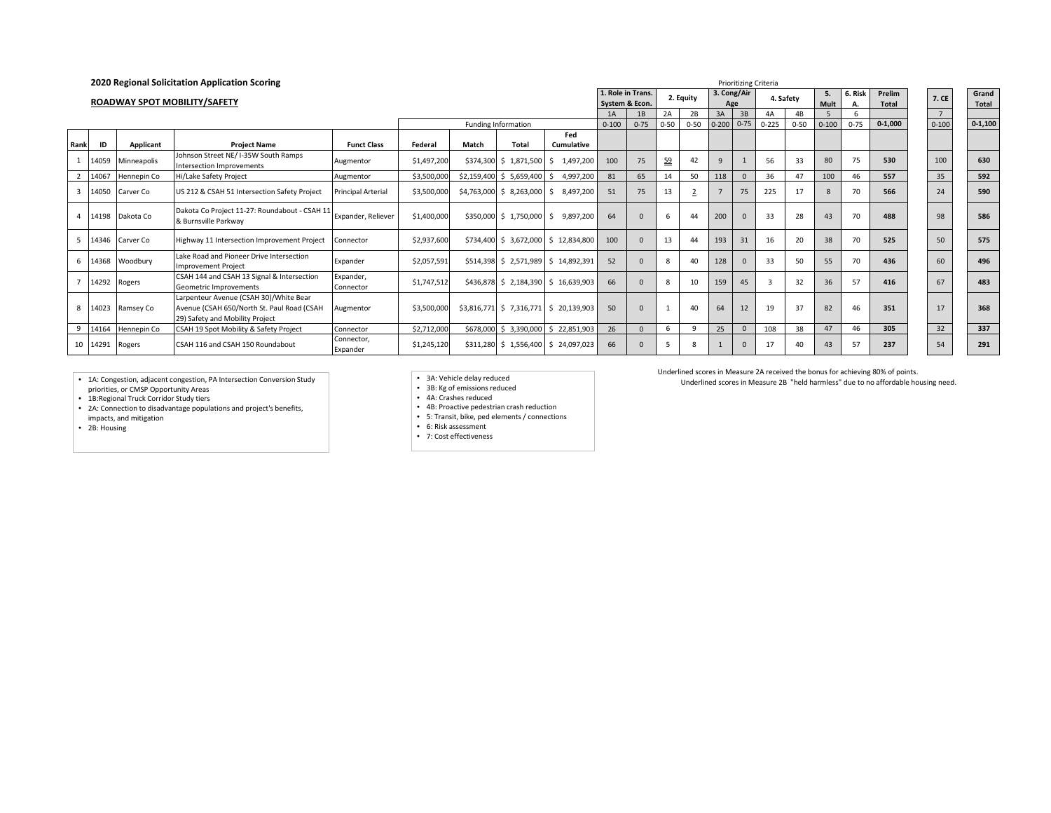|                |       |                 | 2020 Regional Solicitation Application Scoring                                                                          |                           |             |       |                            |                                        |                   |                | <b>Prioritizing Criteria</b> |                |                      |              |                 |                |           |          |             |                          |           |
|----------------|-------|-----------------|-------------------------------------------------------------------------------------------------------------------------|---------------------------|-------------|-------|----------------------------|----------------------------------------|-------------------|----------------|------------------------------|----------------|----------------------|--------------|-----------------|----------------|-----------|----------|-------------|--------------------------|-----------|
|                |       |                 |                                                                                                                         |                           |             |       |                            |                                        | 1. Role in Trans. |                |                              | 2. Equity      | 3. Cong/Air          |              | 4. Safety       |                | 5.        | 6. Risk  | Prelim      | 7. CE                    | Grand     |
|                |       |                 | <b>ROADWAY SPOT MOBILITY/SAFETY</b>                                                                                     |                           |             |       |                            |                                        | System & Econ.    |                |                              |                |                      | Age          |                 |                | Mult      | А.       | Total       |                          | Total     |
|                |       |                 |                                                                                                                         |                           |             |       | <b>Funding Information</b> |                                        | 1A<br>$0 - 100$   | 1B<br>$0 - 75$ | 2A<br>$0 - 50$               | 2B<br>$0 - 50$ | 3A<br>$0-200$ $0-75$ | 3B           | 4A<br>$0 - 225$ | 4B<br>$0 - 50$ | $0 - 100$ | $0 - 75$ | $0 - 1,000$ | $7^{\circ}$<br>$0 - 100$ |           |
|                |       |                 |                                                                                                                         |                           |             |       |                            | Fed                                    |                   |                |                              |                |                      |              |                 |                |           |          |             |                          | $0-1,100$ |
| Rank           | ID    | Applicant       | <b>Project Name</b>                                                                                                     | <b>Funct Class</b>        | Federal     | Match | <b>Total</b>               | <b>Cumulative</b>                      |                   |                |                              |                |                      |              |                 |                |           |          |             |                          |           |
|                | 14059 | Minneapolis     | Johnson Street NE/ I-35W South Ramps<br>Intersection Improvements                                                       | Augmentor                 | \$1,497,200 |       |                            | \$374,300 \$1,871,500 \$1,497,200      | 100               | 75             | 59                           | 42             | 9                    |              | 56              | 33             | 80        | 75       | 530         | 100                      | 630       |
| $\overline{2}$ | 14067 | Hennepin Co     | Hi/Lake Safety Project                                                                                                  | Augmentor                 | \$3,500,000 |       | \$2,159,400 \$ 5,659,400   | 4,997,200<br>S.                        | 81                | 65             | 14                           | 50             | 118                  | $\Omega$     | 36              | 47             | 100       | 46       | 557         | 35                       | 592       |
| $\overline{3}$ | 14050 | Carver Co       | US 212 & CSAH 51 Intersection Safety Project                                                                            | <b>Principal Arterial</b> | \$3,500,000 |       |                            | $$4,763,000 \$8,263,000 \$8,497,200$   | 51                | 75             | 13                           |                |                      | 75           | 225             | 17             | 8         | 70       | 566         | 24                       | 590       |
|                |       | 14198 Dakota Co | Dakota Co Project 11-27: Roundabout - CSAH 11<br>& Burnsville Parkway                                                   | Expander, Reliever        | \$1,400,000 |       |                            | \$350,000 \$1,750,000 \$9,897,200      | 64                |                | 6                            | 44             | 200                  |              | 33              | 28             | 43        | 70       | 488         | 98                       | 586       |
| -5             |       | 14346 Carver Co | Highway 11 Intersection Improvement Project                                                                             | Connector                 | \$2,937,600 |       |                            | \$734,400 \$3,672,000 \$12,834,800     | 100               |                | 13                           | 44             | 193                  | 31           | 16              | 20             | 38        | 70       | 525         | 50                       | 575       |
| 6              |       | 14368 Woodbury  | Lake Road and Pioneer Drive Intersection<br><b>Improvement Project</b>                                                  | Expander                  | \$2,057,591 |       |                            | \$514,398 \$ 2,571,989 \$ 14,892,391   | 52                |                | 8                            | 40             | 128                  |              | 33              | 50             | 55        | 70       | 436         | 60                       | 496       |
|                |       | 14292 Rogers    | CSAH 144 and CSAH 13 Signal & Intersection<br>Geometric Improvements                                                    | Expander.<br>Connector    | \$1,747,512 |       |                            | \$436,878 \$2,184,390 \$16,639,903     | 66                |                | <sub>R</sub>                 | 10             | 159                  | 45           | 3               | 32             | 36        | 57       | 416         | 67                       | 483       |
| 8              |       | 14023 Ramsey Co | Larpenteur Avenue (CSAH 30)/White Bear<br>Avenue (CSAH 650/North St. Paul Road (CSAH<br>29) Safety and Mobility Project | Augmentor                 | \$3,500,000 |       |                            | \$3,816,771 \$ 7,316,771 \$ 20,139,903 | 50                |                |                              | 40             | 64                   | 12           | 19              | 37             | 82        | 46       | 351         | 17                       | 368       |
| 9              | 14164 | Hennepin Co     | CSAH 19 Spot Mobility & Safety Project                                                                                  | Connector                 | \$2,712,000 |       | \$678,000 \$ 3,390,000     | \$22,851,903                           | 26                |                | 6                            | 9              | 25                   | $\mathbf{0}$ | 108             | 38             | 47        | 46       | 305         | 32                       | 337       |
|                |       | 10 14291 Rogers | CSAH 116 and CSAH 150 Roundabout                                                                                        | Connector,<br>Expander    | \$1,245,120 |       |                            | \$311,280 \$1,556,400 \$24,097,023     | 66                |                |                              | 8              |                      | $\mathbf{0}$ | 17              | 40             | 43        | 57       | 237         | 54                       | 291       |

• 1A: Congestion, adjacent congestion, PA Intersection Conversion Study priorities, or CMSP Opportunity Areas • 1B:Regional Truck Corridor Study tiers

• 2A: Connection to disadvantage populations and project's benefits, impacts, and mitigation

• 2B: Housing

• 3A: Vehicle delay reduced • 3B: Kg of emissions reduced

• 4A: Crashes reduced

• 4B: Proactive pedestrian crash reduction • 5: Transit, bike, ped elements / connections

• 6: Risk assessment

• 7: Cost effectiveness

Underlined scores in Measure 2A received the bonus for achieving 80% of points.

Underlined scores in Measure 2B "held harmless" due to no affordable housing need.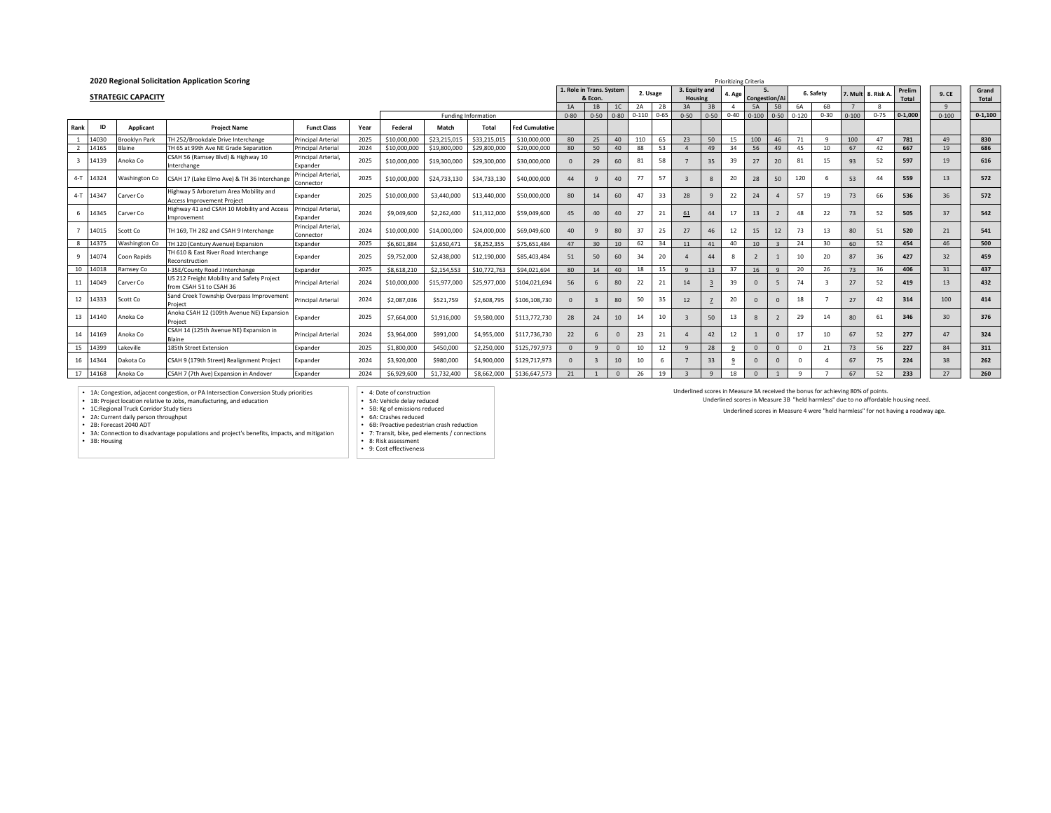|              |           |                           | 2020 Regional Solicitation Application Scoring                             |                                  |      |              |              |                     |                       |                          |              | Prioritizing Criteria |           |          |               |              |                           |               |                |           |            |           |           |             |                 |             |
|--------------|-----------|---------------------------|----------------------------------------------------------------------------|----------------------------------|------|--------------|--------------|---------------------|-----------------------|--------------------------|--------------|-----------------------|-----------|----------|---------------|--------------|---------------------------|---------------|----------------|-----------|------------|-----------|-----------|-------------|-----------------|-------------|
|              |           |                           |                                                                            |                                  |      |              |              |                     |                       | 1. Role in Trans. System |              |                       | 2. Usage  |          | 3. Equity and |              | 4. Age                    |               |                |           | 6. Safety  | . Mult    | 8. Risk A | Prelim      | 9. CE           | Grand       |
|              |           | <b>STRATEGIC CAPACITY</b> |                                                                            |                                  |      |              |              |                     |                       |                          | & Econ.      |                       |           |          | Housing       |              |                           | Congestion/Ai |                |           |            |           |           | Total       |                 | Total       |
|              |           |                           |                                                                            |                                  |      |              |              |                     |                       | 1A                       | 1B           | 1C                    |           | 2B       | 3A            | 3B           |                           | 5A            | <b>5B</b>      | <b>6A</b> | 6 <b>B</b> |           |           |             | 9               |             |
|              |           |                           |                                                                            |                                  |      |              |              | Funding Information |                       | $0 - 80$                 | $0 - 50$     | $0 - 80$              | $0 - 110$ | $0 - 65$ | $0 - 50$      | $0 - 50$     | $0 - 40$                  | $0 - 100$     | $0 - 50$       | $0 - 120$ | $0 - 30$   | $0 - 100$ | $0 - 75$  | $0 - 1.000$ | $0 - 100$       | $0 - 1,100$ |
| Rank         | ID        | Applicant                 | <b>Project Name</b>                                                        | <b>Funct Class</b>               | Year | Federal      | Match        | <b>Total</b>        | <b>Fed Cumulative</b> |                          |              |                       |           |          |               |              |                           |               |                |           |            |           |           |             |                 |             |
|              | 14030     | <b>Brooklyn Park</b>      | TH 252/Brookdale Drive Interchange                                         | <b>Principal Arterial</b>        | 202  | \$10,000,000 | \$23,215.01  | \$33,215,015        | \$10,000,000          | 80                       | 25           | 40 <sup>1</sup>       | 110       | 65       | 23            | 50           | 15                        | 100           | 46             | 71        | - C        | 100       | 47        | 781         | 49              | 830         |
|              | 14165     | Blaine                    | TH 65 at 99th Ave NE Grade Separation                                      | <b>Principal Arterial</b>        | 2024 | \$10,000,000 | \$19,800,000 | \$29,800,000        | \$20,000,000          | 80                       | 50           | 40                    | 88        | 53       |               | 49           | 34                        | 56            | 49             | 45        | 10         | 67        | 42        | 667         | 19              | 686         |
| $\mathbf{3}$ | 14139     | Anoka Co                  | CSAH 56 (Ramsey Blvd) & Highway 10<br>Interchange                          | Principal Arterial.<br>Expander  | 2025 | \$10,000,000 | \$19,300,000 | \$29,300,000        | \$30,000,000          | $\mathbf{0}$             | 29           | 60                    | 81        | 58       |               | 35           | 39                        | 27            | 20             | 81        |            | 93        | 52        | 597         | 19              | 616         |
|              | 4-T 14324 | Washington Co             | CSAH 17 (Lake Elmo Ave) & TH 36 Interchang                                 | Principal Arterial.<br>Connector | 2025 | \$10,000,000 | \$24,733,130 | \$34,733,130        | \$40,000,000          | 44                       | $\mathbf{q}$ | 40                    | 77        | 57       |               | 8            | 20                        | 28            | 50             | 120       |            | 53        | 44        | 559         | 13              | 572         |
|              | 4-T 14347 | Carver Co                 | Highway 5 Arboretum Area Mobility and<br><b>Access Improvement Project</b> | Expander                         | 2025 | \$10,000,000 | \$3,440,000  | \$13,440,000        | \$50,000,000          | 80                       | 14           | 60                    | 47        | 33       | 28            | $\mathbf{q}$ | 22                        | 24            |                | 57        | 19         | 73        | 66        | 536         | 36              | 572         |
|              | 6 14345   | Carver Co                 | Highway 41 and CSAH 10 Mobility and Access<br>Improvement                  | Principal Arterial.<br>Expander  | 2024 | \$9,049,600  | \$2,262,400  | \$11,312,000        | \$59,049,600          | 45                       | 40           | 40                    | 27        | 21       | 61            | 44           | 17                        | 13            |                | 48        | 22         | 73        | 52        | 505         | 37              | 542         |
|              | 14015     | Scott Co                  | TH 169. TH 282 and CSAH 9 Interchange                                      | Principal Arterial.<br>Connector | 2024 | \$10,000,000 | \$14,000,000 | \$24,000,000        | \$69,049,600          | 40                       | $\mathbf{q}$ | 80                    | 37        | 25       | 27            | 46           | 12                        | 15            | 12             | 73        | 13         | 80        | 51        | 520         | 21              | 541         |
| $\mathbf{g}$ | 14375     | Washington Co             | TH 120 (Century Avenue) Expansion                                          | Expander                         | 2025 | \$6,601,884  | \$1,650,471  | \$8,252,355         | \$75,651,484          | 47                       | 30           | 10                    | 62        | 34       | 11            | 41           | 40                        | 10            | $\mathbf{3}$   | 24        | 30         | 60        | 52        | 454         | 46              | 500         |
| -9           | 14074     | Coon Rapids               | TH 610 & East River Road Interchange<br>Reconstruction                     | Expander                         | 2025 | \$9,752,000  | \$2,438,000  | \$12,190,000        | \$85,403,484          | 51                       | 50           | 60                    | 34        | 20       |               | 44           | $\boldsymbol{\mathsf{R}}$ |               |                | 10        | 20         | 87        | 36        | 427         | 32              | 459         |
| 10           | 14018     | Ramsey Co                 | I-35F/County Road Linterchange                                             | <b>Expander</b>                  | 2025 | \$8,618,210  | \$2,154,553  | \$10,772,763        | \$94.021.694          | 80                       | 14           | 40                    | 18        | 15       | $\alpha$      | 13           | 37                        | 16            | $\Omega$       | 20        | 26         | 73        | 36        | 406         | 31              | 437         |
|              | 11 14049  | Carver Co                 | US 212 Freight Mobility and Safety Project<br>from CSAH 51 to CSAH 36      | <b>Principal Arterial</b>        | 2024 | \$10,000,000 | \$15,977,000 | \$25,977,000        | \$104,021,694         | 56                       | 6            | 80                    | 22        | 21       | 14            |              | 39                        | $\Omega$      |                | 74        |            | 27        | 52        | 419         | 13              | 432         |
|              | 12 14333  | Scott Co                  | Sand Creek Township Overpass Improvement<br>Project                        | <b>Principal Arterial</b>        | 2024 | \$2,087,036  | \$521,759    | \$2,608,795         | \$106,108,730         | $\mathbf{0}$             |              | 80                    | 50        | 35       | 12            |              | 20                        | $\mathbf{0}$  |                | 18        |            | 27        | 42        | 314         | 100             | 414         |
|              | 13 14140  | Anoka Co                  | Anoka CSAH 12 (109th Avenue NE) Expansion<br>Project                       | Expander                         | 2025 | \$7,664,000  | \$1,916,000  | \$9,580,000         | \$113,772,730         | 28                       | 24           | 10                    | 14        | 10       |               | 50           | 13                        | $\mathbf{8}$  | $\overline{z}$ | 29        | 14         | 80        | 61        | 346         | 30 <sup>2</sup> | 376         |
|              | 14 14169  | Anoka Co                  | CSAH 14 (125th Avenue NE) Expansion in<br><b>Blaine</b>                    | <b>Principal Arterial</b>        | 2024 | \$3,964,000  | \$991,000    | \$4,955,000         | \$117,736,730         | 22                       | 6            | $\Omega$              | 23        | 21       |               | 42           | 12                        |               | $\Omega$       | 17        | 10         | 67        | 52        | 277         | 47              | 324         |
| 15           | 14399     | Lakeville                 | 185th Street Extension                                                     | Expander                         | 2025 | \$1,800,000  | \$450,000    | \$2,250,000         | \$125,797,973         | $\Omega$                 | $\mathbf{q}$ | $\Omega$              | 10        | 12       | $\alpha$      | 28           | $\Omega$                  | $\Omega$      | $\Omega$       | $\Omega$  | 21         | 73        | 56        | 227         | 84              | 311         |
|              | 16 14344  | Dakota Co                 | CSAH 9 (179th Street) Realignment Project                                  | Expander                         | 2024 | \$3,920,000  | \$980,000    | \$4,900,000         | \$129,717,973         | $\mathbf{0}$             |              | 10                    | 10        |          |               | 33           | S                         | $\Omega$      |                |           |            | 67        | 75        | 224         | 38              | 262         |
| 17           | 14168     | Anoka Co                  | CSAH 7 (7th Ave) Expansion in Andover                                      | Expander                         | 2024 | \$6,929,600  | \$1,732,400  | \$8,662,000         | \$136,647,573         | 21                       |              | $\Omega$              | 26        | 19       |               | $\mathbf{q}$ | 18                        |               |                |           |            | 67        | 52        | 233         | 27              | 260         |

• 1A: Congestion, adjacent congestion, or PA Intersection Conversion Study priorities • 1B: Project location relative to Jobs, manufacturing, and education

• 1C:Regional Truck Corridor Study tiers<br>• 2A: Current daily person throughput<br>• 3A: Connection to disadvantage populations and project's benefits, impacts, and mitigation<br>• 3A: Connection to disadvantage populations and p

• 3B: Housing

• 4: Date of construction • 5A: Vehicle delay reduced

• 5B: Kg of emissions reduced • 6A: Crashes reduced

• 6B: Proactive pedestrian crash reduction • 7: Transit, bike, ped elements / connections

• 8: Risk assessment • 9: Cost effectiveness

Underlined scores in Measure 3A received the bonus for achieving 80% of points.

Underlined scores in Measure 3B "held harmless" due to no affordable housing need.

Underlined scores in Measure 4 were "held harmless" for not having a roadway age.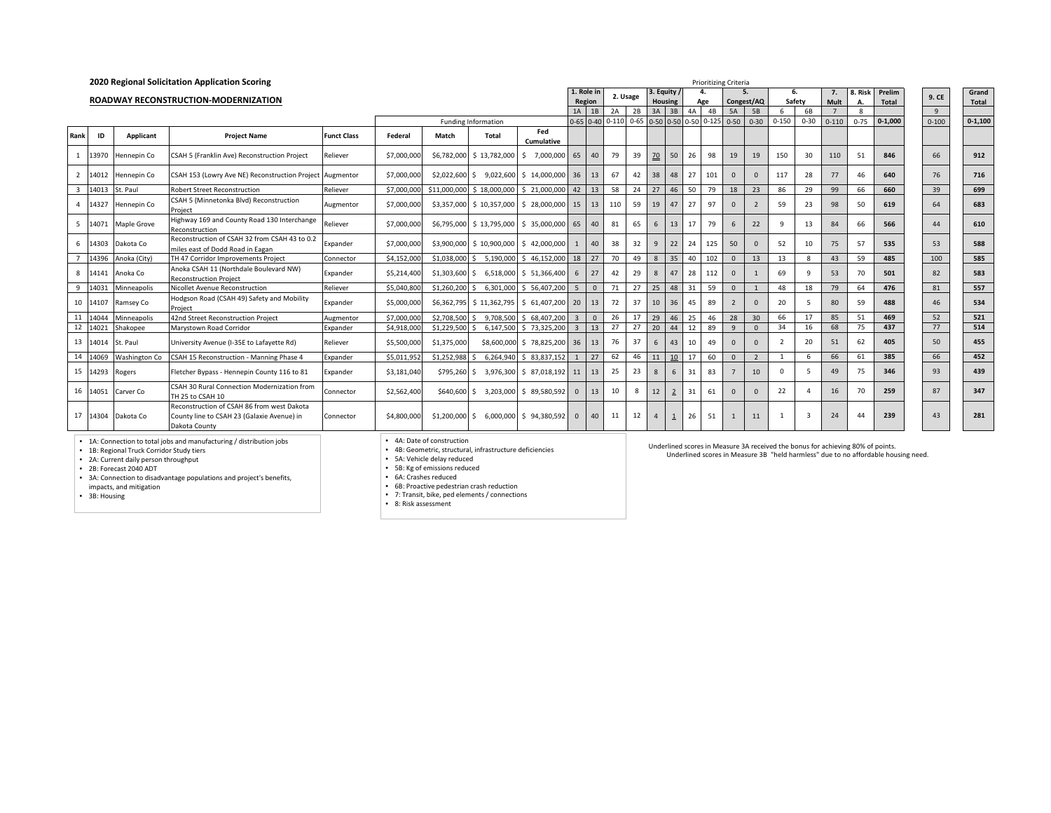|                |          |                                                                                                               | 2020 Regional Solicitation Application Scoring                                                            |                    |                           |                                                                                            |                                                          |                             |                |                   |           |          |                |                |                | <b>Prioritizing Criteria</b> |                |                |                          |              |                                                                                 |              |                                                                                    |           |             |
|----------------|----------|---------------------------------------------------------------------------------------------------------------|-----------------------------------------------------------------------------------------------------------|--------------------|---------------------------|--------------------------------------------------------------------------------------------|----------------------------------------------------------|-----------------------------|----------------|-------------------|-----------|----------|----------------|----------------|----------------|------------------------------|----------------|----------------|--------------------------|--------------|---------------------------------------------------------------------------------|--------------|------------------------------------------------------------------------------------|-----------|-------------|
|                |          |                                                                                                               |                                                                                                           |                    |                           |                                                                                            |                                                          |                             |                | . Role in         |           | 2. Usage | 3. Equity      |                |                | 4.                           |                | 5.             |                          | 6.           | 7.                                                                              | <b>Risk</b>  | Prelim                                                                             | 9. CE     | Grand       |
|                |          |                                                                                                               | ROADWAY RECONSTRUCTION-MODERNIZATION                                                                      |                    |                           |                                                                                            |                                                          |                             |                | Region            |           |          |                | Housing        |                | Age                          |                | Congest/AQ     |                          | Safety       | Mult                                                                            | А.           | <b>Total</b>                                                                       |           | Total       |
|                |          |                                                                                                               |                                                                                                           |                    |                           |                                                                                            |                                                          |                             |                | $1A$ 1B           | 2A        | 2B       | 3A             | 3B             | 4A             | 4B                           | 5A             | 5 <b>B</b>     | 6                        | 6B           | $\overline{z}$                                                                  | $\mathbf{g}$ |                                                                                    | 9         |             |
|                |          |                                                                                                               |                                                                                                           |                    |                           |                                                                                            | <b>Funding Information</b>                               |                             |                | $0 - 65$ $0 - 40$ | $0 - 110$ | $0 - 65$ |                |                |                | 0-50 0-50 0-50 0-125 0-50    |                | $0 - 30$       | $0 - 150$                | $0 - 30$     | $0 - 110$                                                                       | $0 - 75$     | $0 - 1.000$                                                                        | $0 - 100$ | $0 - 1,100$ |
| Rank           | ID       | Applicant                                                                                                     | <b>Project Name</b>                                                                                       | <b>Funct Class</b> | Federal                   | Match                                                                                      | <b>Total</b>                                             | Fed<br>Cumulative           |                |                   |           |          |                |                |                |                              |                |                |                          |              |                                                                                 |              |                                                                                    |           |             |
|                | 13970    | Hennepin Co                                                                                                   | CSAH 5 (Franklin Ave) Reconstruction Project                                                              | Reliever           | \$7,000,000               | \$6,782,000                                                                                |                                                          | \$13,782,000 \$7,000,000    | 65             | 40                | 79        | 39       | 70             | 50             | 26             | 98                           | 19             | 19             | 150                      | 30           | 110                                                                             | 51           | 846                                                                                | 66        | 912         |
| $\overline{2}$ | 14012    | Hennepin Co                                                                                                   | CSAH 153 (Lowry Ave NE) Reconstruction Project                                                            | Augmentor          | \$7,000,000               | \$2,022,600                                                                                | \$9,022,600                                              | \$14,000,000                | 36             | 13                | 67        | 42       | 38             | 48             | 27             | 101                          | $\Omega$       |                | 117                      | 28           | 77                                                                              | 46           | 640                                                                                | 76        | 716         |
| $\overline{3}$ | 14013    | St. Paul                                                                                                      | <b>Robert Street Reconstruction</b>                                                                       | Reliever           | \$7,000,00                | \$11,000,000                                                                               | \$18,000,000                                             | \$21,000,000                | 42             | 13                | 58        | 24       | 27             | 46             | 50             | 79                           | 18             | 23             | 86                       | 29           | 99                                                                              | 66           | 660                                                                                | 39        | 699         |
| $\overline{4}$ | 14327    | Hennepin Co                                                                                                   | CSAH 5 (Minnetonka Blvd) Reconstruction<br>Project                                                        |                    | \$10,357,000 \$28,000,000 | 15                                                                                         | 13                                                       | 110                         | 59             | 19                | 47        | 27       | 97             | $\Omega$       | $\overline{2}$ | 59                           | 23             | 98             | 50                       | 619          | 64                                                                              | 683          |                                                                                    |           |             |
| 5 <sub>5</sub> | 14071    | Maple Grove                                                                                                   | Highway 169 and County Road 130 Interchange<br>Reconstruction                                             | \$6,795,000        |                           | \$13,795,000 \$35,000,000                                                                  | 65                                                       | 40                          | 81             | 65                | 6         | 13       | 17             | 79             | 6              | 22                           | $\mathbf{q}$   | 13             | 84                       | 66           | 566                                                                             | 44           | 610                                                                                |           |             |
|                | 6 14303  | Dakota Co                                                                                                     | Reconstruction of CSAH 32 from CSAH 43 to 0.2<br>miles east of Dodd Road in Eagan                         | Expander           | \$7,000,000               | \$3,900,000                                                                                |                                                          | $$10,900,000$ $$42,000,000$ | $\mathbf{1}$   | 40                | 38        | 32       | 9              | 22             | 24             | 125                          | 50             |                | 52                       | 10           | 75                                                                              | 57           | 535                                                                                | 53        | 588         |
| $\overline{z}$ | 14396    | Anoka (City)                                                                                                  | TH 47 Corridor Improvements Project                                                                       | Connector          | \$4,152,00                | \$1,038,000                                                                                | 5,190,000<br>Š.                                          | \$46,152,000                | 18             | 27                | 70        | 49       | 8              | 35             | 40             | 102                          | $\Omega$       | 13             | 13                       | R            | 43                                                                              | 59           | 485                                                                                | 100       | 585         |
| 8              | 14141    | Anoka Co                                                                                                      | Anoka CSAH 11 (Northdale Boulevard NW)<br><b>Reconstruction Project</b>                                   | Expander           | \$5,214,400               | \$1,303,600                                                                                |                                                          | \$ 6.518,000 \$ 51.366,400  | 6              | 27                | 42        | 29       | 8              | 47             | 28             | 112                          | $\Omega$       |                | 69                       | ٠            | 53                                                                              | 70           | 501                                                                                | 82        | 583         |
| 9              | 14031    | Minneapolis                                                                                                   | Nicollet Avenue Reconstruction                                                                            | Reliever           | \$5,040,80                | \$1,260,200                                                                                | Š.                                                       | 6,301,000 \$ 56,407,200     | 5              | $\overline{0}$    | 71        | 27       | 25             | 48             | 31             | 59                           | $\Omega$       |                | 48                       | 18           | 79                                                                              | 64           | 476                                                                                | 81        | 557         |
|                | 10 14107 | Ramsey Co                                                                                                     | Hodgson Road (CSAH 49) Safety and Mobility<br>Proiect                                                     | Expander           | \$5,000,000               |                                                                                            | \$6,362,795 \$11,362,795 \$61,407,200                    |                             | 20             | 13                | 72        | 37       | 10             | 36             | 45             | 89                           | $\overline{2}$ | $\Omega$       | 20                       | 5            | 80                                                                              | 59           | 488                                                                                | 46        | 534         |
| 11             | 14044    | Minneapolis                                                                                                   | 42nd Street Reconstruction Project                                                                        | Augmentor          | \$7,000,00                | \$2,708,500                                                                                | 9,708,500                                                | \$68,407,200                | $\mathbf{3}$   | $\mathbf{0}$      | 26        | 17       | 29             | 46             | 25             | 46                           | 28             | 30             | 66                       | 17           | 85                                                                              | 51           | 469                                                                                | 52        | 521         |
| 12             | 14021    | Shakopee                                                                                                      | Marystown Road Corridor                                                                                   | Expander           | \$4,918,00                | \$1,229,500                                                                                | 6,147,500                                                | \$73,325,200                | $\overline{3}$ | 13                | 27        | 27       | 20             | 44             | 12             | 89                           | $\alpha$       | $\Omega$       | 34                       | 16           | 68                                                                              | 75           | 437                                                                                | 77        | 514         |
|                | 13 14014 | St. Paul                                                                                                      | University Avenue (I-35E to Lafayette Rd)                                                                 | Reliever           | \$5,500,00                | \$1,375,000                                                                                |                                                          | \$8,600,000 \$ 78,825,200   | 36             | 13                | 76        | 37       | 6              | 43             | 10             | 49                           | $\Omega$       | $\Omega$       | $\overline{\phantom{a}}$ | 20           | 51                                                                              | 62           | 405                                                                                | 50        | 455         |
| 14             | 14069    | Washington Co                                                                                                 | CSAH 15 Reconstruction - Manning Phase 4                                                                  | <i>s</i> pander    | \$5.011.95                | \$1.252.988                                                                                |                                                          | 6.264.940 \$ 83.837.152     |                | 27                | 62        | 46       | 11             | 10             | 17             | 60                           | $\Omega$       | $\overline{2}$ | $\overline{1}$           | 6            | 66                                                                              | 61           | 385                                                                                | 66        | 452         |
|                | 15 14293 | Rogers                                                                                                        | Fletcher Bypass - Hennepin County 116 to 81                                                               | Expander           | \$3,181,040               | \$795,260                                                                                  |                                                          | \$ 3,976,300 \$ 87,018,192  | 11             | 13                | 25        | 23       | 8              | 6              | 31             | 83                           |                | 10             | $\Omega$                 | 5            | 49                                                                              | 75           | 346                                                                                | 93        | 439         |
|                | 16 14051 | Carver Co                                                                                                     | CSAH 30 Rural Connection Modernization from<br>TH 25 to CSAH 10                                           | Connector          | \$2,562,400               | \$640,600                                                                                  |                                                          | \$ 3,203,000 \$ 89,580,592  | $\Omega$       | 13                | 10        | 8        | 12             | $\overline{2}$ | 31             | 61                           | $\Omega$       |                | 22                       |              | 16                                                                              | 70           | 259                                                                                | 87        | 347         |
|                |          | 17 14304 Dakota Co                                                                                            | Reconstruction of CSAH 86 from west Dakota<br>County line to CSAH 23 (Galaxie Avenue) in<br>Dakota County | Connector          | \$4,800,000               | \$1,200,000                                                                                | S.                                                       | 6,000,000 \$ 94,380,592     | $\mathbf{0}$   | 40                | 11        | 12       | $\overline{4}$ |                | 26             | 51                           | $\mathbf{1}$   | 11             |                          | $\mathbf{3}$ | 24                                                                              | 44           | 239                                                                                | 43        | 281         |
|                |          | • 1B: Regional Truck Corridor Study tiers<br>• 2A: Current daily person throughput<br>• 2B: Forecast 2040 ADT | • 1A: Connection to total jobs and manufacturing / distribution jobs                                      |                    |                           | • 4A: Date of construction<br>• 5A: Vehicle delay reduced<br>• 5B: Kg of emissions reduced | • 4B: Geometric, structural, infrastructure deficiencies |                             |                |                   |           |          |                |                |                |                              |                |                |                          |              | Underlined scores in Measure 3A received the bonus for achieving 80% of points. |              | Underlined scores in Measure 3B "held harmless" due to no affordable housing need. |           |             |

• 2A: Current daily person throughput • 2B: Forecast 2040 ADT • 3A: Connection to disadvantage populations and project's benefits, impacts, and mitigation • 3B: Housing

• 6A: Crashes reduced

• 6B: Proactive pedestrian crash reduction • 7: Transit, bike, ped elements / connections • 8: Risk assessment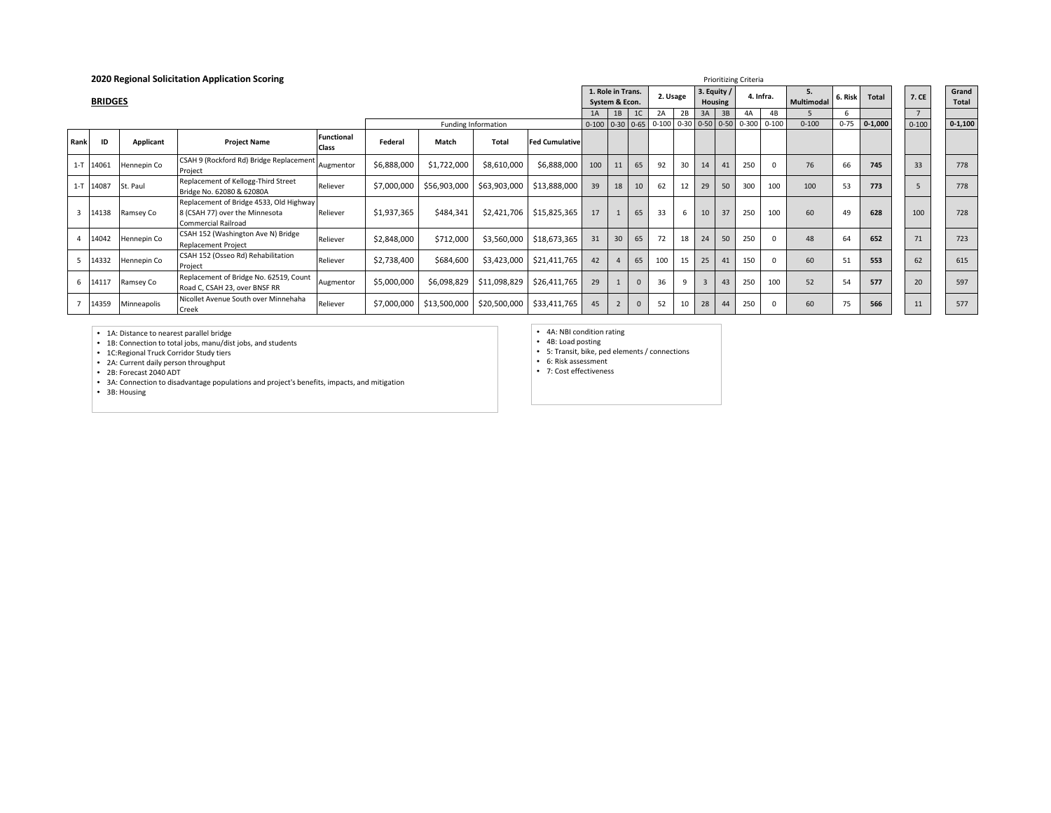|                         |                |             | 2020 Regional Solicitation Application Scoring                                                   |                            |             |              |                     |                          |           |                                     |                |                                            | <b>Prioritizing Criteria</b> |                               |    |           |           |                  |          |              |                |                |
|-------------------------|----------------|-------------|--------------------------------------------------------------------------------------------------|----------------------------|-------------|--------------|---------------------|--------------------------|-----------|-------------------------------------|----------------|--------------------------------------------|------------------------------|-------------------------------|----|-----------|-----------|------------------|----------|--------------|----------------|----------------|
|                         | <b>BRIDGES</b> |             |                                                                                                  |                            |             |              |                     |                          |           | 1. Role in Trans.<br>System & Econ. |                | 2. Usage                                   |                              | 3. Equity /<br><b>Housing</b> |    | 4. Infra. |           | ь.<br>Multimodal | . Risk   | <b>Total</b> | 7. CE          | Grand<br>Total |
|                         |                |             |                                                                                                  |                            |             |              |                     |                          | 1A        | 1B                                  | 1 <sup>C</sup> | 2A                                         | 2B                           | 3A                            | 3B | 4A        | 4B        |                  | b        |              | $\overline{7}$ |                |
|                         |                |             |                                                                                                  |                            |             |              | Funding Information |                          | $0 - 100$ |                                     |                | $0-30$ $0-65$ $0-100$ $0-30$ $0-50$ $0-50$ |                              |                               |    | $0 - 300$ | $0 - 100$ | $0 - 100$        | $0 - 75$ | $0-1,000$    | $0 - 100$      | $0 - 1,100$    |
| Rank                    | ID             | Applicant   | <b>Project Name</b>                                                                              | <b>Functional</b><br>Class | Federal     | Match        | <b>Total</b>        | <b>Fed Cumulative</b>    |           |                                     |                |                                            |                              |                               |    |           |           |                  |          |              |                |                |
|                         | 1-T 14061      | Hennepin Co | CSAH 9 (Rockford Rd) Bridge Replacement<br>Project                                               | Augmentor                  | \$6,888,000 | \$1,722,000  | \$8,610,000         | \$6,888,000              | 100       | 11                                  | 65             | 92                                         | 30                           | 14                            | 41 | 250       |           | 76               | 66       | 745          | 33             | 778            |
|                         | 1-T 14087      | St. Paul    | Replacement of Kellogg-Third Street<br>Bridge No. 62080 & 62080A                                 | Reliever                   | \$7,000,000 | \$56,903,000 | \$63,903,000        | \$13,888,000             | 39        | 18                                  | 10             | 62                                         | 12                           | 29                            | 50 | 300       | 100       | 100              | 53       | 773          | 5              | 778            |
| $\overline{\mathbf{3}}$ | 14138          | Ramsey Co   | Replacement of Bridge 4533, Old Highway<br>8 (CSAH 77) over the Minnesota<br>Commercial Railroad | Reliever                   | \$1,937,365 | \$484,341    | \$2,421,706         | \$15,825,365             | 17        |                                     | 65             | 33                                         | 6                            | 10                            | 37 | 250       | 100       | 60               | 49       | 628          | 100            | 728            |
|                         | 14042          | Hennepin Co | CSAH 152 (Washington Ave N) Bridge<br><b>Replacement Project</b>                                 | Reliever                   | \$2,848,000 | \$712,000    | \$3,560,000         | \$18,673,365             | 31        | 30                                  | 65             | 72                                         | 18                           | 24                            | 50 | 250       |           | 48               | 64       | 652          | 71             | 723            |
|                         | 14332          | Hennepin Co | CSAH 152 (Osseo Rd) Rehabilitation<br>Project                                                    | Reliever                   | \$2,738,400 | \$684,600    |                     | \$3,423,000 \$21,411,765 | 42        |                                     | 65             | 100                                        | 15                           | 25                            | 41 | 150       |           | 60               | 51       | 553          | 62             | 615            |
|                         | 14117          | Ramsey Co   | Replacement of Bridge No. 62519, Count<br>Road C, CSAH 23, over BNSF RR                          | Augmentor                  | \$5,000,000 | \$6,098,829  | \$11,098,829        | \$26,411,765             | 29        |                                     |                | 36                                         | 9                            | $\overline{3}$                | 43 | 250       | 100       | 52               | 54       | 577          | 20             | 597            |
|                         | 14359          | Minneapolis | Nicollet Avenue South over Minnehaha<br>Creek                                                    | Reliever                   | \$7,000,000 | \$13,500,000 | \$20,500,000        | \$33,411,765             | 45        |                                     |                | 52                                         | 10                           | 28                            | 44 | 250       |           | 60               | 75       | 566          | 11             | 577            |

• 1A: Distance to nearest parallel bridge • 1B: Connection to total jobs, manu/dist jobs, and students • 1C:Regional Truck Corridor Study tiers • 2A: Current daily person throughput • 2B: Forecast 2040 ADT

• 3A: Connection to disadvantage populations and project's benefits, impacts, and mitigation

• 3B: Housing

• 4A: NBI condition rating • 4B: Load posting • 5: Transit, bike, ped elements / connections

• 6: Risk assessment • 7: Cost effectiveness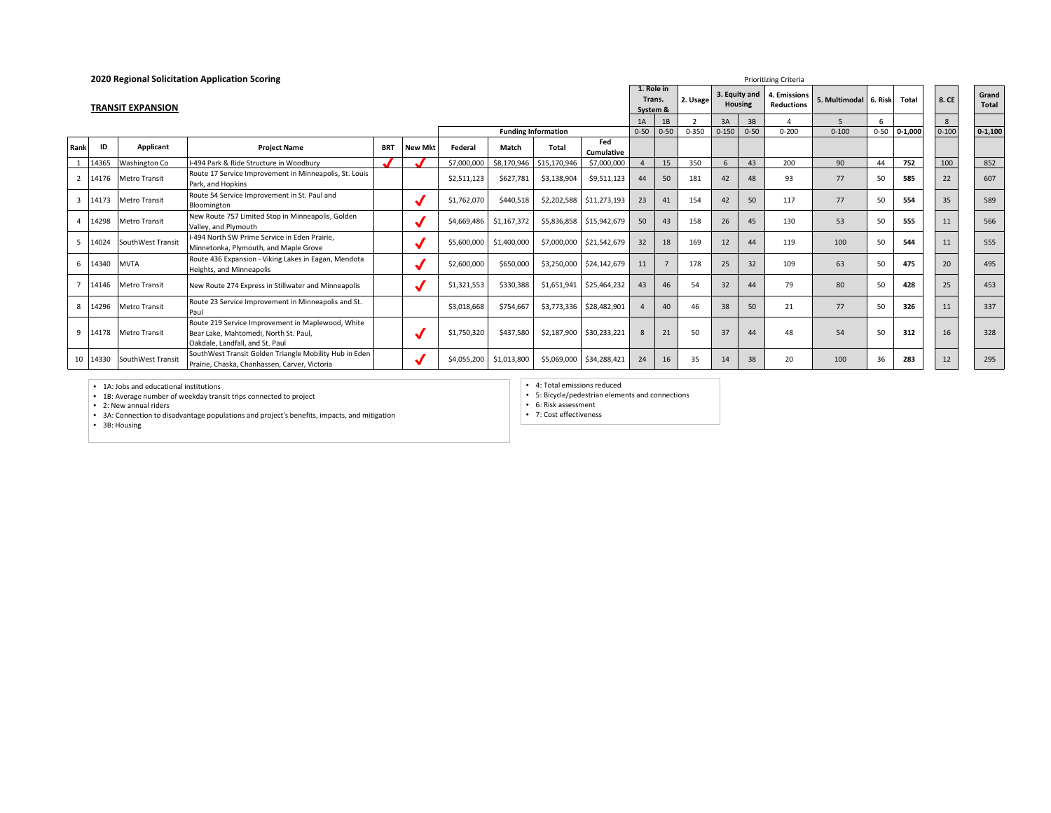|                |       |                          | 2020 Regional Solicitation Application Scoring                                                                                |            |                |             |                            |              |                          |                                  |          |           |               |                | <b>Prioritizing Criteria</b>      |                         |    |                |           |                       |
|----------------|-------|--------------------------|-------------------------------------------------------------------------------------------------------------------------------|------------|----------------|-------------|----------------------------|--------------|--------------------------|----------------------------------|----------|-----------|---------------|----------------|-----------------------------------|-------------------------|----|----------------|-----------|-----------------------|
|                |       | <b>TRANSIT EXPANSION</b> |                                                                                                                               |            |                |             |                            |              |                          | 1. Role in<br>Trans.<br>System & |          | 2. Usage  | 3. Equity and | <b>Housing</b> | 4. Emissions<br><b>Reductions</b> | 5. Multimodal   6. Risk |    | Total          | 8. CE     | Grand<br><b>Total</b> |
|                |       |                          |                                                                                                                               |            |                |             |                            |              |                          | 1A                               | 1B       |           | 3A            | 3B             |                                   |                         |    |                | 8         |                       |
|                |       |                          |                                                                                                                               |            |                |             | <b>Funding Information</b> |              |                          | $0 - 50$                         | $0 - 50$ | $0 - 350$ | $0 - 150$     | $0 - 50$       | $0 - 200$                         | $0 - 100$               |    | $0-50$ 0-1,000 | $0 - 100$ | $0-1,100$             |
| Rank           | ID    | Applicant                | <b>Project Name</b>                                                                                                           | <b>BRT</b> | <b>New Mkt</b> | Federal     | Match                      | Total        | Fed<br><b>Cumulative</b> |                                  |          |           |               |                |                                   |                         |    |                |           |                       |
|                | 14365 | Washington Co            | I-494 Park & Ride Structure in Woodbury                                                                                       |            |                | \$7,000,000 | \$8,170,946                | \$15,170,946 | \$7,000,000              |                                  | 15       | 350       | 6             | 43             | 200                               | 90                      | 44 | 752            | 100       | 852                   |
|                |       | 14176 Metro Transit      | Route 17 Service Improvement in Minneapolis, St. Louis<br>Park, and Hopkins                                                   |            |                | \$2,511,123 | \$627,781                  | \$3,138,904  | \$9,511,123              | 44                               | 50       | 181       | 42            | 48             | 93                                | 77                      | 50 | 585            | 22        | 607                   |
| $\overline{3}$ | 14173 | <b>Metro Transit</b>     | Route 54 Service Improvement in St. Paul and<br>Bloomington                                                                   |            |                | \$1,762,070 | \$440,518                  |              | \$2,202,588 \$11,273,193 | 23                               | 41       | 154       | 42            | 50             | 117                               | 77                      | 50 | 554            | 35        | 589                   |
|                | 14298 | <b>Metro Transit</b>     | New Route 757 Limited Stop in Minneapolis, Golden<br>Valley, and Plymouth                                                     |            |                | \$4,669,486 | \$1,167,372                |              | \$5,836,858 \$15,942,679 | 50                               | 43       | 158       | 26            | 45             | 130                               | 53                      | 50 | 555            | 11        | 566                   |
| .5             | 14024 | SouthWest Transit        | -494 North SW Prime Service in Eden Prairie.<br>Minnetonka, Plymouth, and Maple Grove                                         |            |                | \$5,600,000 | \$1,400,000                |              | \$7,000,000 \$21,542,679 | 32                               | 18       | 169       | 12            | 44             | 119                               | 100                     | 50 | 544            | 11        | 555                   |
| 6              | 14340 | <b>MVTA</b>              | Route 436 Expansion - Viking Lakes in Eagan, Mendota<br>Heights, and Minneapolis                                              |            |                | \$2,600,000 | \$650,000                  |              | \$3,250,000 \$24,142,679 | 11                               |          | 178       | 25            | 32             | 109                               | 63                      | 50 | 475            | 20        | 495                   |
|                |       | 14146 Metro Transit      | New Route 274 Express in Stillwater and Minneapolis                                                                           |            |                | \$1,321,553 | \$330,388                  |              | \$1,651,941 \$25,464,232 | 43                               | 46       | 54        | 32            | 44             | 79                                | 80                      | 50 | 428            | 25        | 453                   |
| 8              | 14296 | <b>Metro Transit</b>     | Route 23 Service Improvement in Minneapolis and St.<br>Paul                                                                   |            |                | \$3,018,668 | \$754,667                  |              | \$3,773,336 \$28,482,901 |                                  | 40       | 46        | 38            | 50             | 21                                | 77                      | 50 | 326            | 11        | 337                   |
| 9              | 14178 | <b>Metro Transit</b>     | Route 219 Service Improvement in Maplewood, White<br>Bear Lake, Mahtomedi, North St. Paul,<br>Oakdale, Landfall, and St. Paul |            |                | \$1,750,320 | \$437,580                  | \$2,187,900  | \$30,233,221             | $\mathbf{8}$                     | 21       | 50        | 37            | 44             | 48                                | 54                      | 50 | 312            | 16        | 328                   |
| -10            | 14330 | SouthWest Transit        | SouthWest Transit Golden Triangle Mobility Hub in Eden<br>Prairie, Chaska, Chanhassen, Carver, Victoria                       |            |                | \$4,055,200 | \$1,013,800                | \$5,069,000  | \$34,288,421             | 24                               | 16       | 35        | 14            | 38             | 20                                | 100                     | 36 | 283            | 12        | 295                   |

• 1A: Jobs and educational institutions<br>• 1B: Average number of weekday transit trips connected to project<br>• 2: New annual riders<br>• 3A: Connection to disadvantage populations and project's benefits, impacts, and mitigation

• 4: Total emissions reduced

• 5: Bicycle/pedestrian elements and connections • 6: Risk assessment

• 7: Cost effectiveness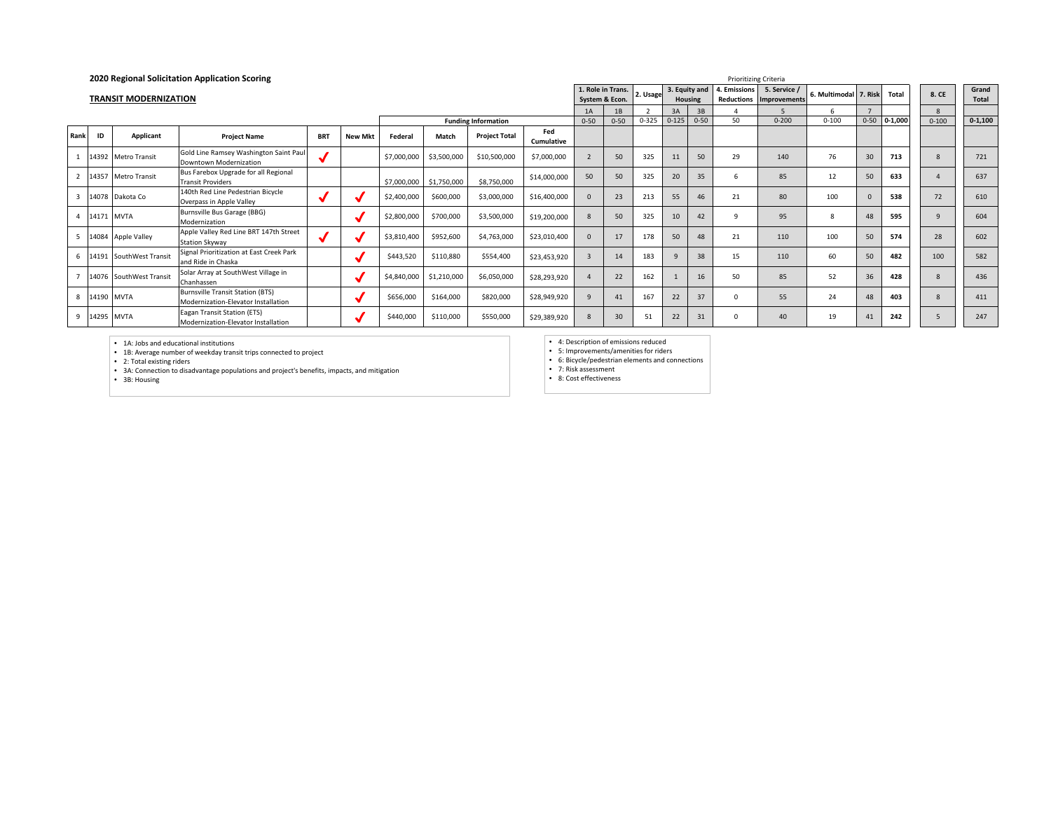|                |              |                              | 2020 Regional Solicitation Application Scoring                                 |            |                |             |             |                            | <b>Prioritizing Criteria</b> |                |                   |           |           |                          |              |                                         |                       |          |             |           |                |
|----------------|--------------|------------------------------|--------------------------------------------------------------------------------|------------|----------------|-------------|-------------|----------------------------|------------------------------|----------------|-------------------|-----------|-----------|--------------------------|--------------|-----------------------------------------|-----------------------|----------|-------------|-----------|----------------|
|                |              | <b>TRANSIT MODERNIZATION</b> |                                                                                |            |                |             |             |                            |                              | System & Econ. | 1. Role in Trans. | 2. Usage  |           | 3. Equity and<br>Housing | I. Emissions | 5. Service /<br>Reductions Improvements | 6. Multimodal 7. Risk |          | Total       | 8. CE     | Grand<br>Total |
|                |              |                              |                                                                                |            |                |             |             |                            |                              | 1A             | 1B                |           | 3A        | 3B                       |              |                                         |                       |          |             | 8         |                |
|                |              |                              |                                                                                |            |                |             |             | <b>Funding Information</b> |                              | $0 - 50$       | $0 - 50$          | $0 - 325$ | $0 - 125$ | $0 - 50$                 | 50           | $0 - 200$                               | $0 - 100$             | $0 - 50$ | $0 - 1,000$ | $0 - 100$ | $0 - 1,100$    |
| Rank           | ID           | Applicant                    | <b>Project Name</b>                                                            | <b>BRT</b> | <b>New Mkt</b> | Federal     | Match       | <b>Project Total</b>       | Fed<br><b>Cumulative</b>     |                |                   |           |           |                          |              |                                         |                       |          |             |           |                |
|                |              | 14392 Metro Transit          | Gold Line Ramsey Washington Saint Paul<br>Downtown Modernization               |            |                | \$7,000,000 | \$3,500,000 | \$10,500,000               | \$7,000,000                  |                | 50                | 325       |           | 50                       | 29           | 140                                     | 76                    | 30       | 713         | 8         | 721            |
|                |              | 14357 Metro Transit          | Bus Farebox Upgrade for all Regional<br><b>Transit Providers</b>               |            |                | \$7,000,000 | \$1,750,000 | \$8,750,000                | \$14,000,000                 | 50             | 50                | 325       | 20        | 35                       |              | 85                                      | 12                    | 50       | 633         |           | 637            |
| $\overline{3}$ | 14078        | Dakota Co                    | 140th Red Line Pedestrian Bicycle<br>Overpass in Apple Valley                  |            |                | \$2,400,000 | \$600,000   | \$3,000,000                | \$16,400,000                 | <sup>n</sup>   | 23                | 213       | 55        | 46                       | 21           | 80                                      | 100                   |          | 538         | 72        | 610            |
|                | 14171 MVTA   |                              | Burnsville Bus Garage (BBG)<br>Modernization                                   |            |                | \$2,800,000 | \$700,000   | \$3,500,000                | \$19,200,000                 |                | 50                | 325       | 10        | 42                       |              | 95                                      | 8                     | 48       | 595         |           | 604            |
| 5              |              | 14084 Apple Valley           | Apple Valley Red Line BRT 147th Street<br><b>Station Skyway</b>                |            |                | \$3,810,400 | \$952,600   | \$4,763,000                | \$23,010,400                 |                | 17                | 178       | 50        | 48                       | 21           | 110                                     | 100                   | 50       | 574         | 28        | 602            |
| 6              |              | 14191 SouthWest Transit      | Signal Prioritization at East Creek Park<br>and Ride in Chaska                 |            |                | \$443,520   | \$110,880   | \$554,400                  | \$23,453,920                 |                | 14                | 183       |           | 38                       | 15           | 110                                     | 60                    | 50       | 482         | 100       | 582            |
|                |              | 14076 SouthWest Transit      | Solar Array at SouthWest Village in<br>Chanhassen                              |            |                | \$4,840,000 | \$1,210,000 | \$6,050,000                | \$28,293,920                 |                | 22                | 162       |           | 16                       | 50           | 85                                      | 52                    | 36       | 428         |           | 436            |
|                | 8 14190 MVTA |                              | <b>Burnsville Transit Station (BTS)</b><br>Modernization-Elevator Installation |            |                | \$656,000   | \$164,000   | \$820,000                  | \$28,949,920                 |                | 41                | 167       | 22        | 37                       |              | 55                                      | 24                    | 48       | 403         |           | 411            |
|                | 9 14295 MVTA |                              | Eagan Transit Station (ETS)<br>Modernization-Elevator Installation             |            |                | \$440,000   | \$110,000   | \$550,000                  | \$29,389,920                 |                | 30                | 51        | 22        | 31                       |              | 40                                      | 19                    | 41       | 242         |           | 247            |

• 1A: Jobs and educational institutions<br>• 1B: Average number of weekday transit trips connected to project<br>• 2: Total existing riders<br>• 3A: Connection to disadvantage populations and project's benefits, impacts, and mitiga

• 4: Description of emissions reduced • 5: Improvements/amenities for riders • 6: Bicycle/pedestrian elements and connections

• 7: Risk assessment • 8: Cost effectiveness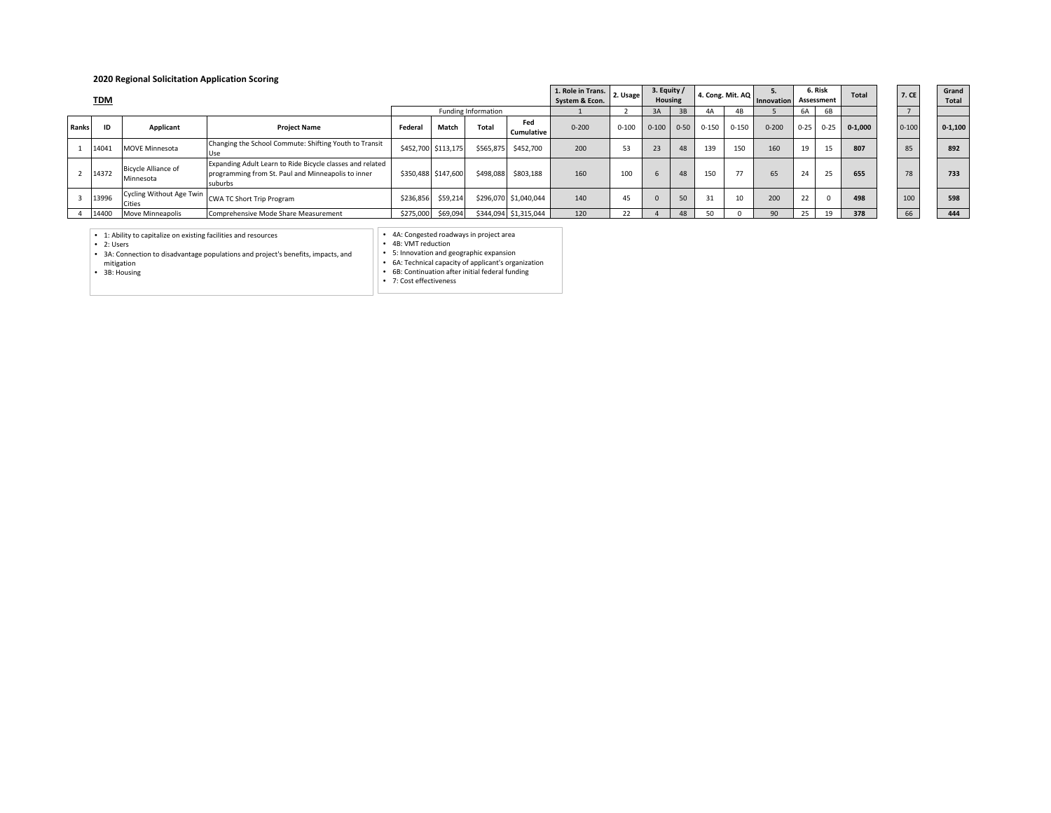## **2020 Regional Solicitation Application Scoring**

|              | <b>TDM</b> |                                         |                                                                                                                            |                     |                     |                     |                       | 1. Role in Trans.<br>System & Econ. | 2. Usage  | 3. Equity /<br>Housing |          | 4. Cong. Mit. AQ |                | <b>Innovation</b> |          | 6. Risk<br>Assessment | <b>Total</b> | 7. CE     | Grand<br>Total |
|--------------|------------|-----------------------------------------|----------------------------------------------------------------------------------------------------------------------------|---------------------|---------------------|---------------------|-----------------------|-------------------------------------|-----------|------------------------|----------|------------------|----------------|-------------------|----------|-----------------------|--------------|-----------|----------------|
|              |            |                                         |                                                                                                                            |                     |                     | Funding Information |                       |                                     |           | 3A                     | 3B       |                  | 4 <sub>B</sub> |                   | 6A       | 6B                    |              |           |                |
| <b>Ranks</b> | ID         | Applicant                               | <b>Project Name</b>                                                                                                        | Federal             | Match               | Total               | Fed<br>Cumulative     | $0 - 200$                           | $0 - 100$ | $0 - 100$              | $0 - 50$ | $0 - 150$        | $0 - 150$      | $0 - 200$         | $0 - 25$ | $0 - 25$              | $0 - 1.000$  | $0 - 100$ | $0 - 1.100$    |
|              | 14041      | <b>MOVE Minnesota</b>                   | Changing the School Commute: Shifting Youth to Transit<br>Use                                                              |                     | \$452,700 \$113,175 | \$565,875           | \$452,700             | 200                                 | 53        | 23                     | 48       | 139              | 150            | 160               | 19       | 15                    | 807          | 85        | 892            |
|              | 14372      | <b>Bicycle Alliance of</b><br>Minnesota | Expanding Adult Learn to Ride Bicycle classes and related<br>programming from St. Paul and Minneapolis to inner<br>suburbs | \$350,488 \$147,600 |                     | \$498,088           | \$803,188             | 160                                 | 100       | 6                      | 48       | 150              |                | 65                | 24       | 25                    | 655          | 78        | 733            |
|              | 13996      | Cycling Without Age Twin<br>Cities      | CWA TC Short Trip Program                                                                                                  | \$236,856           | \$59,214            |                     | \$296,070 \$1,040,044 | 140                                 | 45        |                        | 50       | 31               | 10             | 200               | 22       |                       | 498          | 100       | 598            |
|              | 14400      | Move Minneapolis                        | Comprehensive Mode Share Measurement                                                                                       | \$275,000           | \$69,094            |                     | \$344,094 \$1,315,044 | 120                                 | 22        |                        | 48       |                  |                | 90                | 25       | 19                    | 378          | 66        | 444            |

| Grand<br>Total |
|----------------|
|                |
| $0 - 1,100$    |
| 892            |
| 733            |
| 598            |

• 1: Ability to capitalize on existing facilities and resources • 2: Users • 3A: Connection to disadvantage populations and project's benefits, impacts, and

mitigation • 3B: Housing

• 4B: VMT reduction • 5: Innovation and geographic expansion • 6A: Technical capacity of applicant's organization • 6B: Continuation after initial federal funding

• 7: Cost effectiveness

• 4A: Congested roadways in project area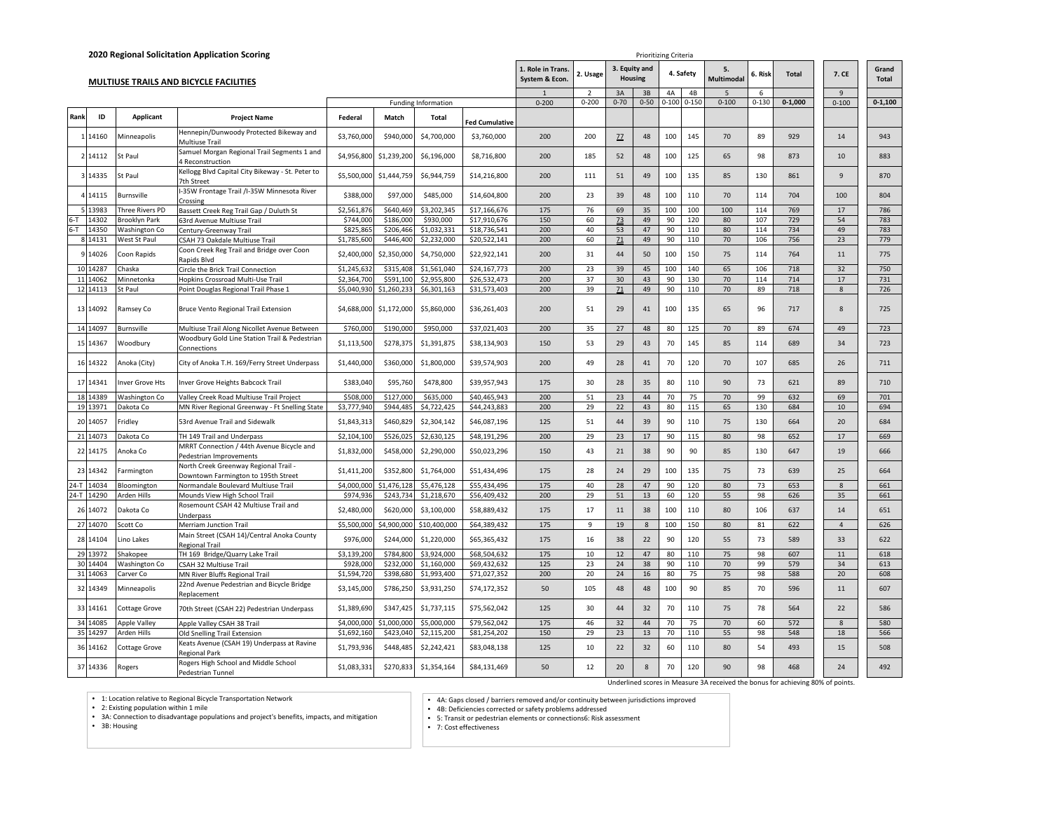|         |            |                        | 2020 Regional Solicitation Application Scoring                   |             |             |                     |                       |                                     |                |          | Prioritizing Criteria           |           |           |                                                                                 |           |              |                |                |
|---------|------------|------------------------|------------------------------------------------------------------|-------------|-------------|---------------------|-----------------------|-------------------------------------|----------------|----------|---------------------------------|-----------|-----------|---------------------------------------------------------------------------------|-----------|--------------|----------------|----------------|
|         |            |                        | <b>MULTIUSE TRAILS AND BICYCLE FACILITIES</b>                    |             |             |                     |                       | 1. Role in Trans.<br>System & Econ. | 2. Usage       |          | 3. Equity and<br><b>Housing</b> |           | 4. Safety | 5.<br><b>Multimodal</b>                                                         | 6. Risk   | <b>Total</b> | 7. CE          | Grand<br>Total |
|         |            |                        |                                                                  |             |             |                     |                       |                                     | $\mathcal{P}$  | 3A       | 3B                              | 4A        | 4B        | $\overline{5}$                                                                  | 6         |              | $\mathbf{q}$   |                |
|         |            |                        |                                                                  |             |             | Funding Information |                       | $0 - 200$                           | $0 - 200$      | $0 - 70$ | $0 - 50$                        | $0 - 100$ | $0 - 150$ | $0 - 100$                                                                       | $0 - 130$ | $0 - 1,000$  | $0 - 100$      | $0 - 1,100$    |
| Rank    | ID         | Applicant              | <b>Project Name</b>                                              | Federal     | Match       | <b>Total</b>        | <b>Fed Cumulative</b> |                                     |                |          |                                 |           |           |                                                                                 |           |              |                |                |
|         | 14160      | Minneapolis            | Hennepin/Dunwoody Protected Bikeway and<br>Multiuse Trail        | \$3,760,000 | \$940,000   | \$4,700,000         | \$3,760,000           | 200                                 | 200            | 22       | 48                              | 100       | 145       | 70                                                                              | 89        | 929          | 14             | 943            |
|         | 14112      | St Paul                | Samuel Morgan Regional Trail Segments 1 and<br>4 Reconstruction  | \$4,956,800 | \$1,239,200 | \$6,196,000         | \$8,716,800           | 200                                 | 185            | 52       | 48                              | 100       | 125       | 65                                                                              | 98        | 873          | 10             | 883            |
|         | 3 14335    | St Paul                | Kellogg Blvd Capital City Bikeway - St. Peter to<br>7th Street   | \$5,500,000 | \$1,444,759 | \$6,944,759         | \$14,216,800          | 200                                 | 111            | 51       | 49                              | 100       | 135       | 85                                                                              | 130       | 861          | $\overline{9}$ | 870            |
|         | 14115      | Burnsville             | I-35W Frontage Trail /I-35W Minnesota River<br>Crossing          | \$388,000   | \$97,000    | \$485,000           | \$14,604,800          | 200                                 | 23             | 39       | 48                              | 100       | 110       | 70                                                                              | 114       | 704          | 100            | 804            |
|         | 13983      | <b>Three Rivers PD</b> | Bassett Creek Reg Trail Gap / Duluth St                          | \$2,561,876 | \$640,469   | \$3,202,345         | \$17,166,676          | 175                                 | 76             | 69       | 35                              | 100       | 100       | 100                                                                             | 114       | 769          | 17             | 786            |
| $6-T$   | 14302      | Brooklyn Park          | 63rd Avenue Multiuse Trail                                       | \$744,000   | \$186,000   | \$930,000           | \$17,910,676          | 150                                 | 60             | 73       | 49                              | 90        | 120       | 80                                                                              | 107       | 729          | 54             | 783            |
| $6 - T$ | 14350      | Washington Co          | Century-Greenway Trail                                           | \$825,865   | \$206,466   | \$1,032,331         | \$18,736,541          | 200                                 | 40             | 53       | 47                              | 90        | 110       | 80                                                                              | 114       | 734          | 49             | 783            |
|         | 8 14131    | West St Paul           | CSAH 73 Oakdale Multiuse Trail                                   | \$1,785,600 | \$446,400   | \$2,232,000         | \$20,522,141          | 200                                 | 60             | 71       | 49                              | 90        | 110       | 70                                                                              | 106       | 756          | 23             | 779            |
|         | 14026      | Coon Rapids            | Coon Creek Reg Trail and Bridge over Coon<br>Rapids Blvd         | \$2,400,000 | \$2,350,000 | \$4,750,000         | \$22,922,141          | 200                                 | 31             | 44       | 50                              | 100       | 150       | 75                                                                              | 114       | 764          | 11             | 775            |
|         | 10 14287   | Chaska                 | Circle the Brick Trail Connection                                | \$1,245,63  | \$315,408   | \$1,561,040         | \$24,167,773          | 200                                 | 23             | 39       | 45                              | 100       | 140       | 65                                                                              | 106       | 718          | 32             | 750            |
|         | 11 14062   | Minnetonka             | Hopkins Crossroad Multi-Use Trail                                | \$2,364,700 | \$591,100   | \$2,955,800         | \$26,532,473          | 200                                 | 37             | 30       | 43                              | 90        | 130       | 70                                                                              | 114       | 714          | 17             | 731            |
|         | 12 14 113  | St Paul                | Point Douglas Regional Trail Phase 1                             | \$5,040,930 | \$1,260,233 | \$6,301,163         | \$31,573,403          | 200                                 | 39             | Z1       | 49                              | 90        | 110       | 70                                                                              | 89        | 718          | 8              | 726            |
|         | 13 14092   | Ramsey Co              | <b>Bruce Vento Regional Trail Extension</b>                      | \$4,688,000 | \$1,172,000 | \$5,860,000         | \$36,261,403          | 200                                 | 51             | 29       | 41                              | 100       | 135       | 65                                                                              | 96        | 717          | 8              | 725            |
|         | 14 14 097  | <b>Burnsville</b>      | Multiuse Trail Along Nicollet Avenue Between                     | \$760,000   | \$190,000   | \$950,000           | \$37,021,403          | 200                                 | 35             | 27       | 48                              | 80        | 125       | 70                                                                              | 89        | 674          | 49             | 723            |
|         | 15 14367   | Woodbury               | Woodbury Gold Line Station Trail & Pedestrian<br>Connections     | \$1,113,500 | \$278.375   | \$1,391,875         | \$38,134,903          | 150                                 | 53             | 29       | 43                              | 70        | 145       | 85                                                                              | 114       | 689          | 34             | 723            |
|         | 16 14322   | Anoka (City)           | City of Anoka T.H. 169/Ferry Street Underpass                    | \$1,440,000 | \$360,000   | \$1,800,000         | \$39,574,903          | 200                                 | 49             | 28       | 41                              | 70        | 120       | 70                                                                              | 107       | 685          | 26             | 711            |
|         | 17 14341   | nver Grove Hts         | Inver Grove Heights Babcock Trail                                | \$383,040   | \$95,760    | \$478,800           | \$39,957,943          | 175                                 | 30             | 28       | 35                              | 80        | 110       | 90                                                                              | 73        | 621          | 89             | 710            |
|         | 18 14389   | Washington Co          | Valley Creek Road Multiuse Trail Project                         | \$508,000   | \$127,000   | \$635,000           | \$40,465,943          | 200                                 | 51             | 23       | 44                              | 70        | 75        | 70                                                                              | 99        | 632          | 69             | 701            |
|         | 19 13971   | Dakota Co              | MN River Regional Greenway - Ft Snelling State                   | \$3,777,940 | \$944,485   | \$4,722,425         | \$44,243,883          | 200                                 | 29             | 22       | 43                              | 80        | 115       | 65                                                                              | 130       | 684          | 10             | 694            |
|         | 20 14057   | Fridley                | 53rd Avenue Trail and Sidewalk                                   | \$1,843,313 | \$460,829   | \$2,304,142         | \$46,087,196          | 125                                 | 51             | 44       | 39                              | 90        | 110       | 75                                                                              | 130       | 664          | 20             | 684            |
|         | 21 14073   | Dakota Co              | TH 149 Trail and Underpass                                       | \$2,104,100 | \$526,025   | \$2,630,125         | \$48,191,296          | 200                                 | 29             | 23       | 17                              | 90        | 115       | 80                                                                              | 98        | 652          | 17             | 669            |
|         |            |                        | MRRT Connection / 44th Avenue Bicycle and                        |             |             |                     |                       |                                     |                |          |                                 |           |           |                                                                                 |           |              |                |                |
|         | 22 14175   | Anoka Co               | Pedestrian Improvements<br>North Creek Greenway Regional Trail - | \$1,832,000 | \$458,000   | \$2,290,000         | \$50,023,296          | 150                                 | 43             | 21       | 38                              | 90        | 90        | 85                                                                              | 130       | 647          | 19             | 666            |
|         | 23 14342   | Farmington             | Downtown Farmington to 195th Street                              | \$1,411,200 | \$352,800   | \$1,764,000         | \$51,434,496          | 175                                 | 28             | 24       | 29                              | 100       | 135       | 75                                                                              | 73        | 639          | 25             | 664            |
|         | 24-T 14034 | <b>Bloomington</b>     | Normandale Boulevard Multiuse Trail                              | \$4,000,000 | \$1,476,128 | \$5,476,128         | \$55,434,496          | 175                                 | 40             | 28       | 47                              | 90        | 120       | 80                                                                              | 73        | 653          | 8              | 661            |
|         | 24-T 14290 | Arden Hills            | Mounds View High School Trail                                    | \$974,936   | \$243,734   | \$1,218,670         | \$56,409,432          | 200                                 | 29             | 51       | 13                              | 60        | 120       | 55                                                                              | 98        | 626          | 35             | 661            |
|         | 26 14072   | Dakota Co              | Rosemount CSAH 42 Multiuse Trail and<br>Underpass                | \$2,480,000 | \$620,000   | \$3,100,000         | \$58,889,432          | 175                                 | 17             | 11       | 38                              | 100       | 110       | 80                                                                              | 106       | 637          | 14             | 651            |
|         | 27 14070   | Scott Co               | Merriam Junction Trail                                           | \$5,500,000 | \$4,900,000 | \$10,400,000        | \$64,389,432          | 175                                 | $\overline{9}$ | 19       | $\boldsymbol{8}$                | 100       | 150       | 80                                                                              | 81        | 622          | $\overline{4}$ | 626            |
|         | 28 14104   | Lino Lakes             | Main Street (CSAH 14)/Central Anoka County<br>Regional Trail     | \$976,000   | \$244,000   | \$1,220,000         | \$65,365,432          | 175                                 | 16             | 38       | 22                              | 90        | 120       | 55                                                                              | 73        | 589          | 33             | 622            |
|         | 29 13972   | Shakopee               | TH 169 Bridge/Quarry Lake Trail                                  | \$3,139,200 | \$784,800   | \$3,924,000         | \$68,504,632          | 175                                 | 10             | 12       | 47                              | 80        | 110       | 75                                                                              | 98        | 607          | 11             | 618            |
|         | 30 14404   | Washington Co          | CSAH 32 Multiuse Trail                                           | \$928,000   | \$232,000   | \$1,160,000         | \$69,432,632          | 125                                 | 23             | 24       | 38                              | 90        | 110       | 70                                                                              | 99        | 579          | 34             | 613            |
|         | 31 14063   | Carver Co              | MN River Bluffs Regional Trail                                   | \$1,594,720 | \$398,680   | \$1,993,400         | \$71,027,352          | 200                                 | 20             | 24       | 16                              | 80        | 75        | 75                                                                              | 98        | 588          | 20             | 608            |
|         | 32 14349   | Minneapolis            | 22nd Avenue Pedestrian and Bicycle Bridge<br>Replacement         | \$3,145,000 | \$786,250   | \$3,931,250         | \$74,172,352          | 50                                  | 105            | 48       | 48                              | 100       | 90        | 85                                                                              | 70        | 596          | 11             | 607            |
|         | 33 14161   | Cottage Grove          | 70th Street (CSAH 22) Pedestrian Underpass                       | \$1,389,690 | \$347,425   | \$1,737,115         | \$75,562,042          | 125                                 | 30             | 44       | 32                              | 70        | 110       | 75                                                                              | 78        | 564          | 22             | 586            |
|         | 34 14085   | Apple Valley           | Apple Valley CSAH 38 Trail                                       | \$4,000,000 | \$1,000,000 | \$5,000,000         | \$79,562,042          | 175                                 | 46             | 32       | 44                              | 70        | 75        | 70                                                                              | 60        | 572          | 8              | 580            |
|         | 35 14297   | Arden Hills            | Old Snelling Trail Extension                                     | \$1,692,160 | \$423,040   | \$2,115,200         | \$81,254,202          | 150                                 | 29             | 23       | 13                              | 70        | 110       | 55                                                                              | 98        | 548          | 18             | 566            |
|         | 36 14162   | Cottage Grove          | Keats Avenue (CSAH 19) Underpass at Ravine<br>Regional Park      | \$1,793,936 | \$448,485   | \$2,242,421         | \$83,048,138          | 125                                 | 10             | 22       | 32                              | 60        | 110       | 80                                                                              | 54        | 493          | 15             | 508            |
|         | 37 14336   | Rogers                 | Rogers High School and Middle School<br>Pedestrian Tunnel        | \$1,083,331 | \$270,833   | \$1,354,164         | \$84,131,469          | 50                                  | 12             | 20       | 8                               | 70        | 120       | 90                                                                              | 98        | 468          | 24             | 492            |
|         |            |                        |                                                                  |             |             |                     |                       |                                     |                |          |                                 |           |           | Underlined scores in Measure 3A received the bonus for achieving 80% of points. |           |              |                |                |

• 1: Location relative to Regional Bicycle Transportation Network<br>• 2: Existing population within 1 mile<br>• 3A: Connection to disadvantage populations and project's benefits, impacts, and mitigation

• 3B: Housing

• 4A: Gaps closed / barriers removed and/or continuity between jurisdictions improved • 4B: Deficiencies corrected or safety problems addressed

- 5: Transit or pedestrian elements or connections6: Risk assessment
	- 7: Cost effectiveness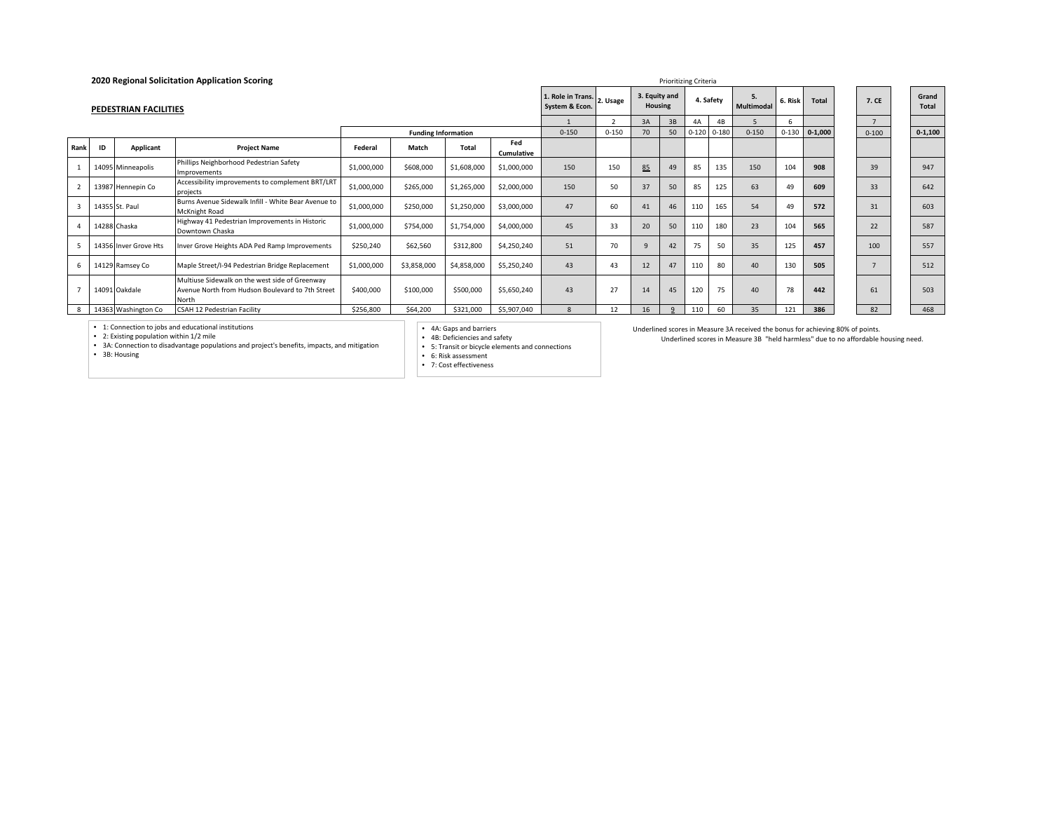|      |    |                       | 2020 Regional Solicitation Application Scoring                                                              |             |                            |                                              |                   |                          |           |              |              | Prioritizing Criteria   |                 |              |           |                       |           |             |
|------|----|-----------------------|-------------------------------------------------------------------------------------------------------------|-------------|----------------------------|----------------------------------------------|-------------------|--------------------------|-----------|--------------|--------------|-------------------------|-----------------|--------------|-----------|-----------------------|-----------|-------------|
|      |    | PEDESTRIAN FACILITIES |                                                                                                             |             |                            | 1. Role in Trans. 2. Usage<br>System & Econ. |                   | 3. Equity and<br>Housing |           |              | 4. Safety    | 5.<br><b>Multimodal</b> | 6. Risk         | <b>Total</b> | 7. CE     | Grand<br><b>Total</b> |           |             |
|      |    |                       |                                                                                                             |             |                            |                                              |                   |                          |           | 3A           | 3B           | 4A                      | 4B              |              |           |                       |           |             |
|      |    |                       |                                                                                                             |             | <b>Funding Information</b> |                                              |                   | $0 - 150$                | $0 - 150$ | 70           | 50           |                         | $0-120$ $0-180$ | $0 - 150$    | $0 - 130$ | $0 - 1,000$           | $0 - 100$ | $0 - 1,100$ |
| Rank | ID | Applicant             | <b>Project Name</b>                                                                                         | Federal     | Match                      | Total                                        | Fed<br>Cumulative |                          |           |              |              |                         |                 |              |           |                       |           |             |
|      |    | 14095 Minneapolis     | Phillips Neighborhood Pedestrian Safety<br>Improvements                                                     | \$1,000,000 | \$608,000                  | \$1,608,000                                  | \$1,000,000       | 150                      | 150       | 85           | 49           | 85                      | 135             | 150          | 104       | 908                   | 39        | 947         |
|      |    | 13987 Hennepin Co     | Accessibility improvements to complement BRT/LRT<br>projects                                                | \$1,000,000 | \$265,000                  | \$1,265,000                                  | \$2,000,000       | 150                      | 50        | 37           | 50           | 85                      | 125             | 63           | 49        | 609                   | 33        | 642         |
|      |    | 14355 St. Paul        | Burns Avenue Sidewalk Infill - White Bear Avenue to<br><b>McKnight Road</b>                                 | \$1,000,000 | \$250,000                  | \$1,250,000                                  | \$3,000,000       | 47                       | 60        | 41           | 46           | 110                     | 165             | 54           | 49        | 572                   | 31        | 603         |
|      |    | 14288 Chaska          | Highway 41 Pedestrian Improvements in Historic<br>Downtown Chaska                                           | \$1,000,000 | \$754,000                  | \$1,754,000                                  | \$4,000,000       | 45                       | 33        | 20           | 50           | 110                     | 180             | 23           | 104       | 565                   | 22        | 587         |
|      |    | 14356 Inver Grove Hts | Inver Grove Heights ADA Ped Ramp Improvements                                                               | \$250,240   | \$62,560                   | \$312,800                                    | \$4,250,240       | 51                       | 70        | $\mathbf{q}$ | 42           | 75                      | 50              | 35           | 125       | 457                   | 100       | 557         |
|      |    | 14129 Ramsey Co       | Maple Street/I-94 Pedestrian Bridge Replacement                                                             | \$1,000,000 | \$3,858,000                | \$4,858,000                                  | \$5,250,240       | 43                       | 43        | 12           | 47           | 110                     | 80              | 40           | 130       | 505                   |           | 512         |
|      |    | 14091 Oakdale         | Multiuse Sidewalk on the west side of Greenway<br>Avenue North from Hudson Boulevard to 7th Street<br>North | \$400,000   | \$100,000                  | \$500,000                                    | \$5,650,240       | 43                       | 27        | 14           | 45           | 120                     | 75              | 40           | 78        | 442                   | 61        | 503         |
|      |    | 14363 Washington Co   | CSAH 12 Pedestrian Facility                                                                                 | \$256,800   | \$64,200                   | \$321,000                                    | \$5,907,040       | 8                        | 12        | 16           | $\mathbf{q}$ | 110                     | 60              | 35           | 121       | 386                   | 82        | 468         |

• 4A: Gaps and barriers • 4B: Deficiencies and safety • 5: Transit or bicycle elements and connections • 6: Risk assessment

• 7: Cost effectiveness

Underlined scores in Measure 3A received the bonus for achieving 80% of points. Underlined scores in Measure 3B "held harmless" due to no affordable housing need.

• 1: Connection to jobs and educational institutions • 2: Existing population within 1/2 mile • 3A: Connection to disadvantage populations and project's benefits, impacts, and mitigation • 3B: Housing